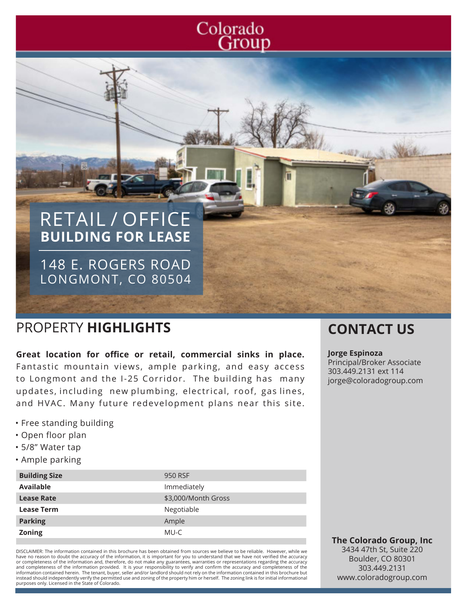# Colorado Group

# RETAIL / OFFICE **BUILDING FOR LEASE**

148 E. ROGERS ROAD LONGMONT, CO 80504

## PROPERTY **HIGHLIGHTS CONTACT US**

**Great location for office or retail, commercial sinks in place.** Fantastic mountain views, ample parking, and easy access to Longmont and the I-25 Corridor. The building has many updates, including new plumbing, electrical, roof, gas lines, and HVAC. Many future redevelopment plans near this site.

- Free standing building
- Open floor plan
- 5/8" Water tap
- Ample parking

| <b>Building Size</b> | 950 RSF             |
|----------------------|---------------------|
| <b>Available</b>     | Immediately         |
| <b>Lease Rate</b>    | \$3,000/Month Gross |
| <b>Lease Term</b>    | Negotiable          |
| <b>Parking</b>       | Ample               |
| <b>Zoning</b>        | MU-C                |

DISCLAIMER: The information contained in this brochure has been obtained from sources we believe to be reliable. However, while we have no reason to doubt the accuracy of the information, it is important for you to understand that we have not verified the accuracy or completeness of the information and, therefore, do not make any guarantees, warranties or representations regarding the accuracy<br>and completeness of the information provided. It is your responsibility to verify and con information contained herein. The tenant, buyer, seller and/or landlord should not rely on the information contained in this brochure but instead should independently verify the permitted use and zoning of the property him or herself. The zoning link is for initial informational purposes only. Licensed in the State of Colorado.

#### **Jorge Espinoza**

Principal/Broker Associate 303.449.2131 ext 114 jorge@coloradogroup.com

**The Colorado Group, Inc** 3434 47th St, Suite 220 Boulder, CO 80301 303.449.2131 www.coloradogroup.com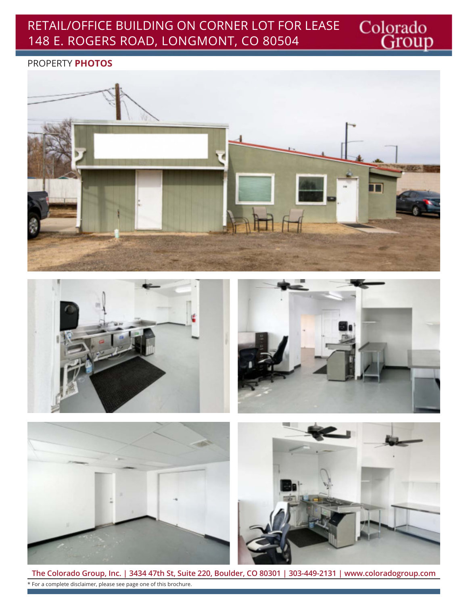## RETAIL/OFFICE BUILDING ON CORNER LOT FOR LEASE 148 E. ROGERS ROAD, LONGMONT, CO 80504

#### PROPERTY **PHOTOS**







Colorado<br>Group



**The Colorado Group, Inc. | 3434 47th St, Suite 220, Boulder, CO 80301 | 303-449-2131 | www.coloradogroup.com** \* For a complete disclaimer, please see page one of this brochure.